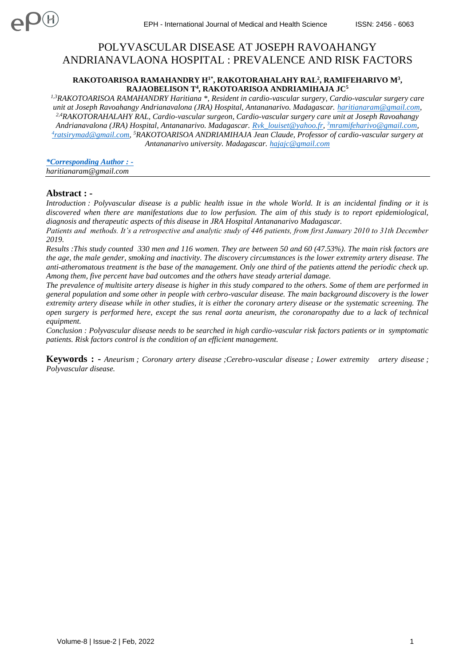# POLYVASCULAR DISEASE AT JOSEPH RAVOAHANGY ANDRIANAVLAONA HOSPITAL : PREVALENCE AND RISK FACTORS

## **RAKOTOARISOA RAMAHANDRY H1\* , RAKOTORAHALAHY RAL<sup>2</sup> , RAMIFEHARIVO M<sup>3</sup> , RAJAOBELISON T<sup>4</sup> , RAKOTOARISOA ANDRIAMIHAJA JC<sup>5</sup>**

*1,3RAKOTOARISOA RAMAHANDRY Haritiana \*, Resident in cardio-vascular surgery, Cardio-vascular surgery care unit at Joseph Ravoahangy Andrianavalona (JRA) Hospital, Antananarivo. Madagascar. [haritianaram@gmail.com,](mailto:haritianaram@gmail.com) 2,4RAKOTORAHALAHY RAL, Cardio-vascular surgeon, Cardio-vascular surgery care unit at Joseph Ravoahangy Andrianavalona (JRA) Hospital, Antananarivo. Madagascar. [Rvk\\_louiset@yahoo.fr,](mailto:Rvk_louiset@yahoo.fr) <sup>3</sup>[mramifeharivo@gmail.com,](mailto:3mramifeharivo@gmail.com) 4 [ratsirymad@gmail.com,](mailto:4ratsirymad@gmail.com) <sup>5</sup>RAKOTOARISOA ANDRIAMIHAJA Jean Claude, Professor of cardio-vascular surgery at Antananarivo university. Madagascar. [hajajc@gmail.com](mailto:hajajc@gmail.com)*

*\*Corresponding Author : [haritianaram@gmail.com](mailto:haritianaram@gmail.com)*

# **Abstract : -**

*Introduction : Polyvascular disease is a public health issue in the whole World. It is an incidental finding or it is discovered when there are manifestations due to low perfusion. The aim of this study is to report epidemiological, diagnosis and therapeutic aspects of this disease in JRA Hospital Antananarivo Madagascar.* 

*Patients and methods. It's a retrospective and analytic study of 446 patients, from first January 2010 to 31th December 2019.*

*Results :This study counted 330 men and 116 women. They are between 50 and 60 (47.53%). The main risk factors are the age, the male gender, smoking and inactivity. The discovery circumstances is the lower extremity artery disease. The anti-atheromatous treatment is the base of the management. Only one third of the patients attend the periodic check up. Among them, five percent have bad outcomes and the others have steady arterial damage.* 

*The prevalence of multisite artery disease is higher in this study compared to the others. Some of them are performed in general population and some other in people with cerbro-vascular disease. The main background discovery is the lower extremity artery disease while in other studies, it is either the coronary artery disease or the systematic screening. The open surgery is performed here, except the sus renal aorta aneurism, the coronaropathy due to a lack of technical equipment.* 

*Conclusion : Polyvascular disease needs to be searched in high cardio-vascular risk factors patients or in symptomatic patients. Risk factors control is the condition of an efficient management.*

**Keywords : -** *Aneurism ; Coronary artery disease ;Cerebro-vascular disease ; Lower extremity artery disease ; Polyvascular disease.*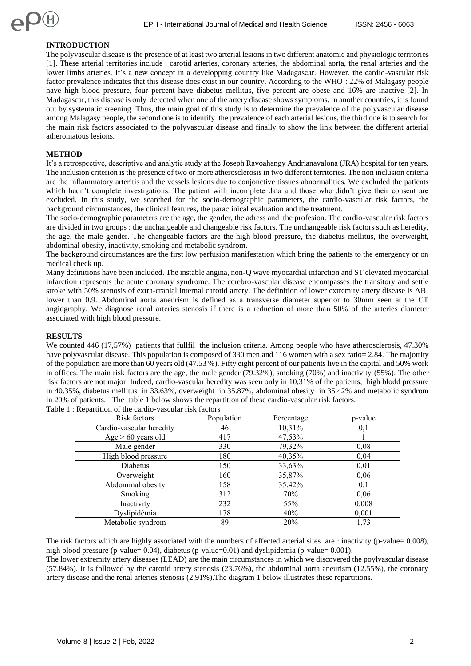# **INTRODUCTION**

The polyvascular disease is the presence of at least two arterial lesions in two different anatomic and physiologic territories [1]. These arterial territories include : carotid arteries, coronary arteries, the abdominal aorta, the renal arteries and the lower limbs arteries. It's a new concept in a developping country like Madagascar. However, the cardio-vascular risk factor prevalence indicates that this disease does exist in our country. According to the WHO : 22% of Malagasy people have high blood pressure, four percent have diabetus mellitus, five percent are obese and 16% are inactive [2]. In Madagascar, this disease is only detected when one of the artery disease shows symptoms. In another countries, it is found out by systematic sreening. Thus, the main goal of this study is to determine the prevalence of the polyvascular disease among Malagasy people, the second one is to identify the prevalence of each arterial lesions, the third one is to search for the main risk factors associated to the polyvascular disease and finally to show the link between the different arterial atheromatous lesions.

# **METHOD**

It's a retrospective, descriptive and analytic study at the Joseph Ravoahangy Andrianavalona (JRA) hospital for ten years. The inclusion criterion is the presence of two or more atherosclerosis in two different territories. The non inclusion criteria are the inflammatory arteritis and the vessels lesions due to conjonctive tissues abnormalities. We excluded the patients which hadn't complete investigations. The patient with incomplete data and those who didn't give their consent are excluded. In this study, we searched for the socio-demographic parameters, the cardio-vascular risk factors, the background circumstances, the clinical features, the paraclinical evaluation and the treatment.

The socio-demographic parameters are the age, the gender, the adress and the profesion. The cardio-vascular risk factors are divided in two groups : the unchangeable and changeable risk factors. The unchangeable risk factors such as heredity, the age, the male gender. The changeable factors are the high blood pressure, the diabetus mellitus, the overweight, abdominal obesity, inactivity, smoking and metabolic syndrom.

The background circumstances are the first low perfusion manifestation which bring the patients to the emergency or on medical check up.

Many definitions have been included. The instable angina, non-Q wave myocardial infarction and ST elevated myocardial infarction represents the acute coronary syndrome. The cerebro-vascular disease encompasses the transitory and settle stroke with 50% stenosis of extra-cranial internal carotid artery. The definition of lower extremity artery disease is ABI lower than 0.9. Abdominal aorta aneurism is defined as a transverse diameter superior to 30mm seen at the CT angiography. We diagnose renal arteries stenosis if there is a reduction of more than 50% of the arteries diameter associated with high blood pressure.

## **RESULTS**

We counted 446 (17,57%) patients that fullfil the inclusion criteria. Among people who have atherosclerosis, 47.30% have polyvascular disease. This population is composed of 330 men and 116 women with a sex ratio= 2.84. The majotrity of the population are more than 60 years old (47.53 %). Fifty eight percent of our patients live in the capital and 50% work in offices. The main risk factors are the age, the male gender (79.32%), smoking (70%) and inactivity (55%). The other risk factors are not major. Indeed, cardio-vascular heredity was seen only in 10,31% of the patients, high blodd pressure in 40.35%, diabetus mellitus in 33.63%, overweight in 35.87%, abdominal obesity in 35.42% and metabolic syndrom in 20% of patients. The table 1 below shows the repartition of these cardio-vascular risk factors. Table 1 : Repartition of the cardio-vascular risk factors

| Risk factors             | Population | Percentage | p-value |
|--------------------------|------------|------------|---------|
| Cardio-vascular heredity | 46         | 10,31%     | 0,1     |
| Age $> 60$ years old     | 417        | 47,53%     |         |
| Male gender              | 330        | 79,32%     | 0,08    |
| High blood pressure      | 180        | 40,35%     | 0,04    |
| Diabetus                 | 150        | 33,63%     | 0,01    |
| Overweight               | 160        | 35,87%     | 0,06    |
| Abdominal obesity        | 158        | 35,42%     | 0,1     |
| Smoking                  | 312        | 70%        | 0,06    |
| Inactivity               | 232        | 55%        | 0,008   |
| Dyslipidémia             | 178        | 40%        | 0,001   |
| Metabolic syndrom        | 89         | 20%        | 1,73    |

The risk factors which are highly associated with the numbers of affected arterial sites are : inactivity (p-value=  $0.008$ ), high blood pressure (p-value=  $0.04$ ), diabetus (p-value= $0.01$ ) and dyslipidemia (p-value=  $0.001$ ).

The lower extremity artery diseases (LEAD) are the main circumstances in which we discovered the poylvascular disease (57.84%). It is followed by the carotid artery stenosis (23.76%), the abdominal aorta aneurism (12.55%), the coronary artery disease and the renal arteries stenosis (2.91%).The diagram 1 below illustrates these repartitions.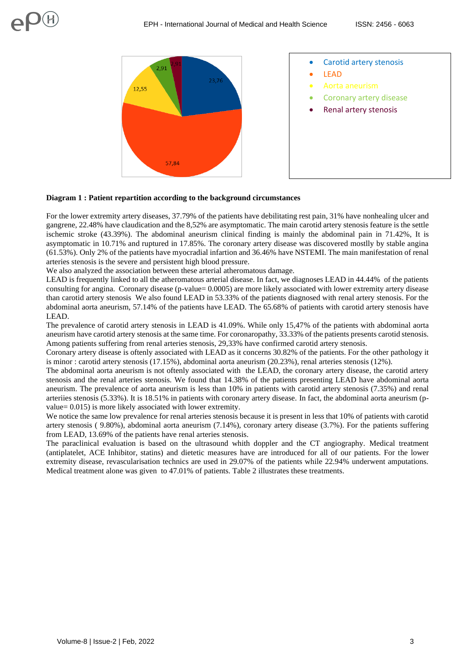

## **Diagram 1 : Patient repartition according to the background circumstances**

For the lower extremity artery diseases, 37.79% of the patients have debilitating rest pain, 31% have nonhealing ulcer and gangrene, 22.48% have claudication and the 8,52% are asymptomatic. The main carotid artery stenosis feature is the settle ischemic stroke (43.39%). The abdominal aneurism clinical finding is mainly the abdominal pain in 71.42%, It is asymptomatic in 10.71% and ruptured in 17.85%. The coronary artery disease was discovered mostlly by stable angina (61.53%). Only 2% of the patients have myocradial infartion and 36.46% have NSTEMI. The main manifestation of renal arteries stenosis is the severe and persistent high blood pressure.

We also analyzed the association between these arterial atheromatous damage.

LEAD is frequently linked to all the atheromatous arterial disease. In fact, we diagnoses LEAD in 44.44% of the patients consulting for angina. Coronary disease (p-value= 0.0005) are more likely associated with lower extremity artery disease than carotid artery stenosis We also found LEAD in 53.33% of the patients diagnosed with renal artery stenosis. For the abdominal aorta aneurism, 57.14% of the patients have LEAD. The 65.68% of patients with carotid artery stenosis have LEAD.

The prevalence of carotid artery stenosis in LEAD is 41.09%. While only 15,47% of the patients with abdominal aorta aneurism have carotid artery stenosis at the same time. For coronaropathy, 33.33% of the patients presents carotid stenosis. Among patients suffering from renal arteries stenosis, 29,33% have confirmed carotid artery stenosis.

Coronary artery disease is oftenly associated with LEAD as it concerns 30.82% of the patients. For the other pathology it is minor : carotid artery stenosis (17.15%), abdominal aorta aneurism (20.23%), renal arteries stenosis (12%).

The abdominal aorta aneurism is not oftenly associated with the LEAD, the coronary artery disease, the carotid artery stenosis and the renal arteries stenosis. We found that 14.38% of the patients presenting LEAD have abdominal aorta aneurism. The prevalence of aorta aneurism is less than 10% in patients with carotid artery stenosis (7.35%) and renal arteriies stenosis (5.33%). It is 18.51% in patients with coronary artery disease. In fact, the abdominal aorta aneurism (pvalue= 0.015) is more likely associated with lower extremity.

We notice the same low prevalence for renal arteries stenosis because it is present in less that 10% of patients with carotid artery stenosis ( 9.80%), abdominal aorta aneurism (7.14%), coronary artery disease (3.7%). For the patients suffering from LEAD, 13.69% of the patients have renal arteries stenosis.

The paraclinical evaluation is based on the ultrasound whith doppler and the CT angiography. Medical treatment (antiplatelet, ACE Inhibitor, statins) and dietetic measures have are introduced for all of our patients. For the lower extremity disease, revascularisation technics are used in 29.07% of the patients while 22.94% underwent amputations. Medical treatment alone was given to 47.01% of patients. Table 2 illustrates these treatments.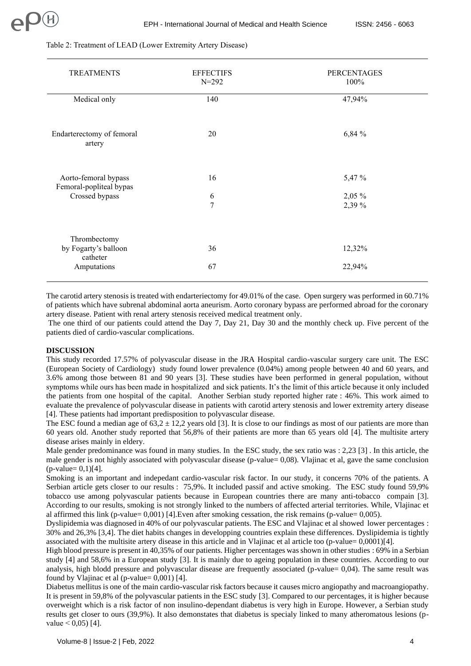| <b>TREATMENTS</b>                               | <b>EFFECTIFS</b><br>$N = 292$ | <b>PERCENTAGES</b><br>100% |
|-------------------------------------------------|-------------------------------|----------------------------|
| Medical only                                    | 140                           | 47,94%                     |
| Endarterectomy of femoral<br>artery             | 20                            | 6,84 %                     |
| Aorto-femoral bypass<br>Femoral-popliteal bypas | 16                            | 5,47 %                     |
| Crossed bypass                                  | 6<br>$\overline{7}$           | $2,05\%$                   |
| Thrombectomy<br>by Fogarty's balloon            | 36                            | 2,39 %<br>12,32%           |
| catheter                                        |                               |                            |
| Amputations                                     | 67                            | 22,94%                     |
|                                                 |                               |                            |

#### Table 2: Treatment of LEAD (Lower Extremity Artery Disease)

The carotid artery stenosis is treated with endarteriectomy for 49.01% of the case. Open surgery was performed in 60.71% of patients which have subrenal abdominal aorta aneurism. Aorto coronary bypass are performed abroad for the coronary artery disease. Patient with renal artery stenosis received medical treatment only.

The one third of our patients could attend the Day 7, Day 21, Day 30 and the monthly check up. Five percent of the patients died of cardio-vascular complications.

#### **DISCUSSION**

This study recorded 17.57% of polyvascular disease in the JRA Hospital cardio-vascular surgery care unit. The ESC (European Society of Cardiology) study found lower prevalence (0.04%) among people between 40 and 60 years, and 3.6% among those between 81 and 90 years [3]. These studies have been performed in general population, without symptoms while ours has been made in hospitalized and sick patients. It's the limit of this article because it only included the patients from one hospital of the capital. Another Serbian study reported higher rate : 46%. This work aimed to evaluate the prevalence of polyvascular disease in patients with carotid artery stenosis and lower extremity artery disease [4]. These patients had important predisposition to polyvascular disease.

The ESC found a median age of  $63,2 \pm 12,2$  years old [3]. It is close to our findings as most of our patients are more than 60 years old. Another study reported that 56,8% of their patients are more than 65 years old [4]. The multisite artery disease arises mainly in eldery.

Male gender predominance was found in many studies. In the ESC study, the sex ratio was : 2,23 [3]. In this article, the male gender is not highly associated with polyvascular disease (p-value= 0,08). Vlajinac et al, gave the same conclusion  $(p$ -value=  $0,1)$ [4].

Smoking is an important and indepedant cardio-vascular risk factor. In our study, it concerns 70% of the patients. A Serbian article gets closer to our results : 75,9%. It included passif and active smoking. The ESC study found 59,9% tobacco use among polyvascular patients because in European countries there are many anti-tobacco compain [3]. According to our results, smoking is not strongly linked to the numbers of affected arterial territories. While, Vlajinac et al affirmed this link (p-value= 0,001) [4].Even after smoking cessation, the risk remains (p-value= 0,005).

Dyslipidemia was diagnosed in 40% of our polyvascular patients. The ESC and Vlajinac et al showed lower percentages : 30% and 26,3% [3,4]. The diet habits changes in developping countries explain these differences. Dyslipidemia is tightly associated with the multisite artery disease in this article and in Vlajinac et al article too (p-value= 0,0001)[4].

High blood pressure is present in 40,35% of our patients. Higher percentages was shown in other studies : 69% in a Serbian study [4] and 58,6% in a European study [3]. It is mainly due to ageing population in these countries. According to our analysis, high blodd pressure and polyvascular disease are frequently associated (p-value= 0,04). The same result was found by Vlajinac et al (p-value=  $0,001$ ) [4].

Diabetus mellitus is one of the main cardio-vascular risk factors because it causes micro angiopathy and macroangiopathy. It is present in 59,8% of the polyvascular patients in the ESC study [3]. Compared to our percentages, it is higher because overweight which is a risk factor of non insulino-dependant diabetus is very high in Europe. However, a Serbian study results get closer to ours (39,9%). It also demonstates that diabetus is specialy linked to many atheromatous lesions (pvalue  $< 0.05$ ) [4].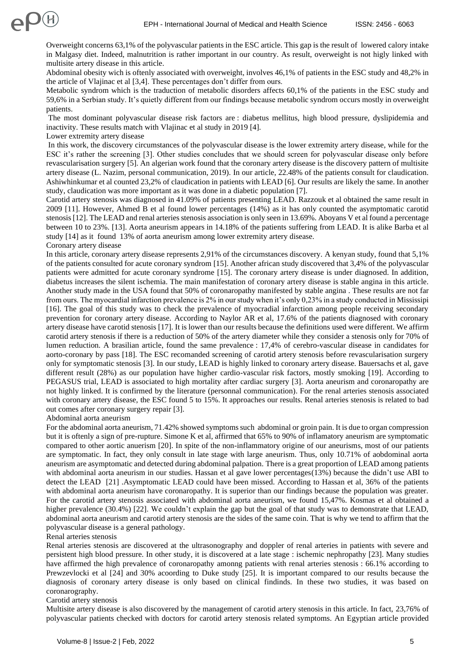Overweight concerns 63,1% of the polyvascular patients in the ESC article. This gap is the result of lowered calory intake in Malgasy diet. Indeed, malnutrition is rather important in our country. As result, overweight is not higly linked with multisite artery disease in this article.

Abdominal obesity wich is oftenly associated with overweight, involves 46,1% of patients in the ESC study and 48,2% in the article of Vlajinac et al [3,4]. These percentages don't differ from ours.

Metabolic syndrom which is the traduction of metabolic disorders affects 60,1% of the patients in the ESC study and 59,6% in a Serbian study. It's quietly different from our findings because metabolic syndrom occurs mostly in overweight patients.

The most dominant polyvascular disease risk factors are : diabetus mellitus, high blood pressure, dyslipidemia and inactivity. These results match with Vlajinac et al study in 2019 [4].

Lower extremity artery disease

In this work, the discovery circumstances of the polyvascular disease is the lower extremity artery disease, while for the ESC it's rather the screening [3]. Other studies concludes that we should screen for polyvascular disease only before revascularisation surgery [5]. An algerian work found that the coronary artery disease is the discovery pattern of multisite artery disease (L. Nazim, personal communication, 2019). In our article, 22.48% of the patients consult for claudication. Ashiwhinkumar et al counted 23,2% of claudication in patients with LEAD [6]. Our results are likely the same. In another study, claudication was more important as it was done in a diabetic population [7].

Carotid artery stenosis was diagnosed in 41.09% of patients presenting LEAD. Razzouk et al obtained the same result in 2009 [11]. However, Ahmed B et al found lower percentages (14%) as it has only counted the asymptomatic carotid stenosis[12]. The LEAD and renal arteries stenosis association is only seen in 13.69%. Aboyans V et al found a percentage between 10 to 23%. [13]. Aorta aneurism appears in 14.18% of the patients suffering from LEAD. It is alike Barba et al study [14] as it found 13% of aorta aneurism among lower extremity artery disease. Coronary artery disease

In this article, coronary artery disease represents 2,91% of the circumstances discovery. A kenyan study, found that 5,1% of the patients consulted for acute coronary syndrom [15]. Another african study discovered that 3,4% of the polyvascular patients were admitted for acute coronary syndrome [15]. The coronary artery disease is under diagnosed. In addition, diabetus increases the silent ischemia. The main manifestation of coronary artery disease is stable angina in this article. Another study made in the USA found that 50% of coronaropathy manifested by stable angina . These results are not far from ours. The myocardial infarction prevalence is 2% in our study when it's only 0,23% in a study conducted in Mississipi [16]. The goal of this study was to check the prevalence of myocradial infarction among people receiving secondary prevention for coronary artery disease. According to Naylor AR et al, 17.6% of the patients diagnosed with coronary artery disease have carotid stenosis [17]. It is lower than our results because the definitions used were different. We affirm carotid artery stenosis if there is a reduction of 50% of the artery diameter while they consider a stenosis only for 70% of lumen reduction. A brasilian article, found the same prevalence : 17,4% of cerebro-vascular disease in candidates for aorto-coronary by pass [18]. The ESC recomanded screening of carotid artery stenosis before revascularisation surgery only for symptomatic stenosis [3]. In our study, LEAD is highly linked to coronary artery disease. Bauersachs et al, gave different result (28%) as our population have higher cardio-vascular risk factors, mostly smoking [19]. According to PEGASUS trial, LEAD is associated to high mortality after cardiac surgery [3]. Aorta aneurism and coronaropathy are not highly linked. It is confirmed by the literature (personnal communication). For the renal arteries stenosis associated with coronary artery disease, the ESC found 5 to 15%. It approaches our results. Renal arteries stenosis is related to bad out comes after coronary surgery repair [3].

Abdominal aorta aneurism

For the abdominal aorta aneurism, 71.42% showed symptoms such abdominal or groin pain. It is due to organ compression but it is oftenly a sign of pre-rupture. Simone K et al, affirmed that 65% to 90% of inflamatory aneurism are symptomatic compared to other aortic anuerism [20]. In spite of the non-inflammatory origine of our aneurisms, most of our patients are symptomatic. In fact, they only consult in late stage with large aneurism. Thus, only 10.71% of aobdominal aorta aneurism are asymptomatic and detected during abdominal palpation. There is a great proportion of LEAD among patients with abdominal aorta aneurism in our studies. Hassan et al gave lower percentages(13%) because the didn't use ABI to detect the LEAD [21] .Asymptomatic LEAD could have been missed. According to Hassan et al, 36% of the patients with abdominal aorta aneurism have coronaropathy. It is superior than our findings because the population was greater. For the carotid artery stenosis associated with abdominal aorta aneurism, we found 15,47%. Kosmas et al obtained a higher prevalence (30.4%) [22]. We couldn't explain the gap but the goal of that study was to demonstrate that LEAD, abdominal aorta aneurism and carotid artery stenosis are the sides of the same coin. That is why we tend to affirm that the polyvascular disease is a general pathology.

Renal arteries stenosis

Renal arteries stenosis are discovered at the ultrasonography and doppler of renal arteries in patients with severe and persistent high blood pressure. In other study, it is discovered at a late stage : ischemic nephropathy [23]. Many studies have affirmed the high prevalence of coronaropathy amonng patients with renal arteries stenosis : 66.1% according to Prewzevlocki et al [24] and 30% acoording to Duke study [25]. It is important compared to our results because the diagnosis of coronary artery disease is only based on clinical findinds. In these two studies, it was based on coronarography.

## Carotid artery stenosis

Multisite artery disease is also discovered by the management of carotid artery stenosis in this article. In fact, 23,76% of polyvascular patients checked with doctors for carotid artery stenosis related symptoms. An Egyptian article provided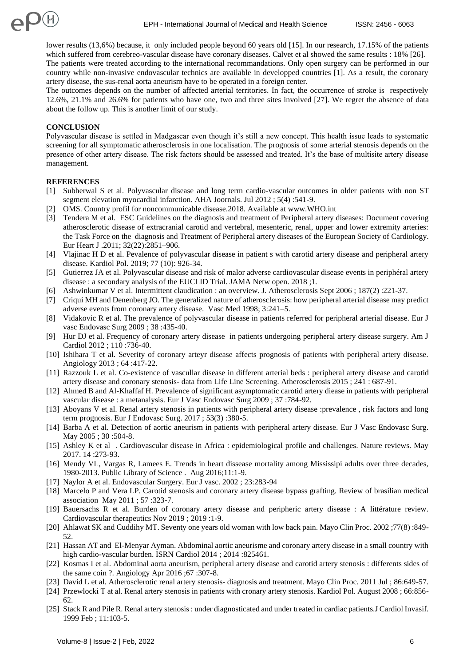lower results (13,6%) because, it only included people beyond 60 years old [15]. In our research, 17.15% of the patients which suffered from cerebreo-vascular disease have coronary diseases. Calvet et al showed the same results : 18% [26]. The patients were treated according to the international recommandations. Only open surgery can be performed in our country while non-invasive endovascular technics are available in developped countries [1]. As a result, the coronary artery disease, the sus-renal aorta aneurism have to be operated in a foreign center.

The outcomes depends on the number of affected arterial territories. In fact, the occurrence of stroke is respectively 12.6%, 21.1% and 26.6% for patients who have one, two and three sites involved [27]. We regret the absence of data about the follow up. This is another limit of our study.

## **CONCLUSION**

Polyvascular disease is settled in Madgascar even though it's still a new concept. This health issue leads to systematic screening for all symptomatic atherosclerosis in one localisation. The prognosis of some arterial stenosis depends on the presence of other artery disease. The risk factors should be assessed and treated. It's the base of multisite artery disease management.

## **REFERENCES**

- [1] Subherwal S et al. Polyvascular disease and long term cardio-vascular outcomes in older patients with non ST segment elevation myocardial infarction. AHA Joornals. Jul 2012 ; 5(4) :541-9.
- [2] OMS. Country profil for noncommunicable disease.2018. Available at www.WHO.int
- [3] Tendera M et al. ESC Guidelines on the diagnosis and treatment of Peripheral artery diseases: Document covering atherosclerotic disease of extracranial carotid and vertebral, mesenteric, renal, upper and lower extremity arteries: the Task Force on the diagnosis and Treatment of Peripheral artery diseases of the European Society of Cardiology. Eur Heart J .2011; 32(22):2851–906.
- [4] Vlajinac H D et al. Pevalence of polyvascular disease in patient s with carotid artery disease and peripheral artery disease. Kardiol Pol. 2019; 77 (10): 926-34.
- [5] Gutierrez JA et al. Polyvascular disease and risk of malor adverse cardiovascular disease events in periphéral artery disease : a secondary analysis of the EUCLID Trial. JAMA Netw open. 2018 ;1.
- [6] Ashwinkumar V et al. Intermittent claudication : an overview. J. Atherosclerosis Sept 2006 ; 187(2) :221-37.
- [7] Criqui MH and Denenberg JO. The generalized nature of atherosclerosis: how peripheral arterial disease may predict adverse events from coronary artery disease. Vasc Med 1998; 3:241–5.
- [8] Vidakovic R et al. The prevalence of polyvascular disease in patients referred for peripheral arterial disease. Eur J vasc Endovasc Surg 2009 ; 38 :435-40.
- [9] Hur DJ et al. Frequency of coronary artery disease in patients undergoing peripheral artery disease surgery. Am J Cardiol 2012 ; 110 :736-40.
- [10] Ishihara T et al. Severity of coronary arteyr disease affects prognosis of patients with peripheral artery disease. Angiology 2013 ; 64 :417-22.
- [11] Razzouk L et al. Co-existence of vascullar disease in different arterial beds : peripheral artery disease and carotid artery disease and coronary stenosis- data from Life Line Screening. Atherosclerosis 2015 ; 241 : 687-91.
- [12] Ahmed B and Al-Khaffaf H. Prevalence of significant asymptomatic carotid artery diease in patients with peripheral vascular disease : a metanalysis. Eur J Vasc Endovasc Surg 2009 ; 37 :784-92.
- [13] Aboyans V et al. Renal artery stenosis in patients with peripheral artery disease :prevalence , risk factors and long term prognosis. Eur J Endovasc Surg. 2017 ; 53(3) :380-5.
- [14] Barba A et al. Detection of aortic aneurism in patients with peripheral artery disease. Eur J Vasc Endovasc Surg. May 2005 ; 30 :504-8.
- [15] Ashley K et al . Cardiovascular disease in Africa : epidemiological profile and challenges. Nature reviews. May 2017. 14 :273-93.
- [16] Mendy VL, Vargas R, Lamees E. Trends in heart dissease mortality among Mississipi adults over three decades, 1980-2013. Public Library of Science . Aug 2016;11:1-9.
- [17] Naylor A et al. Endovascular Surgery. Eur J vasc. 2002 ; 23:283-94
- [18] Marcelo P and Vera LP. Carotid stenosis and coronary artery disease bypass grafting. Review of brasilian medical association May 2011 ; 57 :323-7.
- [19] Bauersachs R et al. Burden of coronary artery disease and peripheric artery disease : A littérature review. Cardiovascular therapeutics Nov 2019 ; 2019 :1-9.
- [20] Ahlawat SK and Cuddihy MT. Seventy one years old woman with low back pain. Mayo Clin Proc. 2002 ;77(8) :849- 52.
- [21] Hassan AT and El-Menyar Ayman. Abdominal aortic aneurisme and coronary artery disease in a small country with high cardio-vascular burden. ISRN Cardiol 2014 ; 2014 :825461.
- [22] Kosmas I et al. Abdominal aorta aneurism, peripheral artery disease and carotid artery stenosis : differents sides of the same coin ?. Angiology Apr 2016 ;67 :307-8.
- [23] David L et al. Atherosclerotic renal artery stenosis- diagnosis and treatment. Mayo Clin Proc. 2011 Jul ; 86:649-57.
- [24] Przewlocki T at al. Renal artery stenosis in patients with cronary artery stenosis. Kardiol Pol. August 2008 ; 66:856- 62.
- [25] Stack R and Pile R. Renal artery stenosis : under diagnosticated and under treated in cardiac patients.J Cardiol Invasif. 1999 Feb ; 11:103-5.